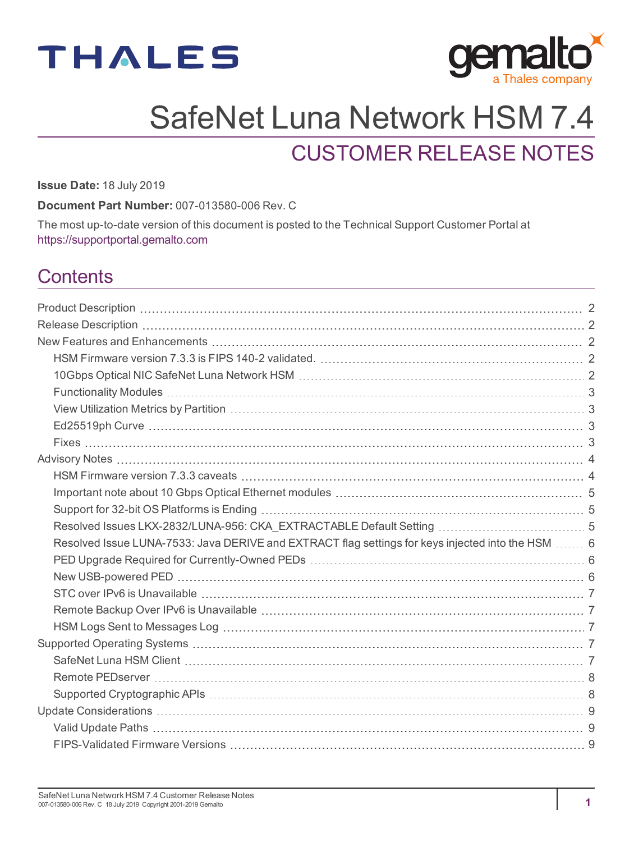



# SafeNet Luna Network HSM 7.4

# CUSTOMER RELEASE NOTES

**Issue Date:** 18 July 2019

**Document Part Number:** 007-013580-006 Rev. C

The most up-to-date version of this document is posted to the Technical Support Customer Portal at [https://supportportal.gemalto.com](https://supportportal.gemalto.com/)

# **Contents**

| Resolved Issue LUNA-7533: Java DERIVE and EXTRACT flag settings for keys injected into the HSM  6 |  |
|---------------------------------------------------------------------------------------------------|--|
|                                                                                                   |  |
|                                                                                                   |  |
|                                                                                                   |  |
|                                                                                                   |  |
|                                                                                                   |  |
|                                                                                                   |  |
|                                                                                                   |  |
|                                                                                                   |  |
|                                                                                                   |  |
|                                                                                                   |  |
|                                                                                                   |  |
|                                                                                                   |  |
|                                                                                                   |  |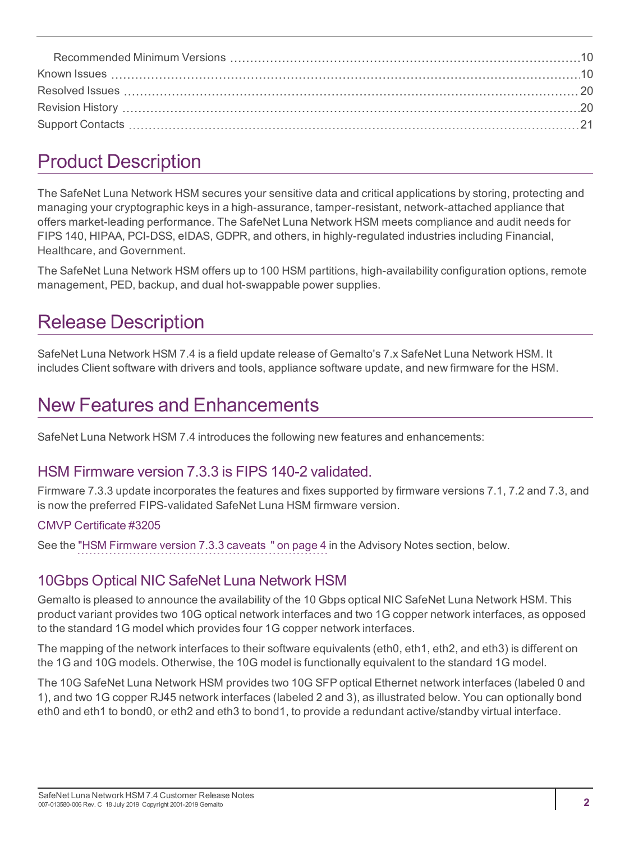# <span id="page-1-0"></span>Product Description

The SafeNet Luna Network HSM secures your sensitive data and critical applications by storing, protecting and managing your cryptographic keys in a high-assurance, tamper-resistant, network-attached appliance that offers market-leading performance. The SafeNet Luna Network HSM meets compliance and audit needs for FIPS 140, HIPAA, PCI-DSS, eIDAS, GDPR, and others, in highly-regulated industries including Financial, Healthcare, and Government.

The SafeNet Luna Network HSM offers up to 100 HSM partitions, high-availability configuration options, remote management, PED, backup, and dual hot-swappable power supplies.

# <span id="page-1-1"></span>Release Description

SafeNet Luna Network HSM 7.4 is a field update release of Gemalto's 7.x SafeNet Luna Network HSM. It includes Client software with drivers and tools, appliance software update, and new firmware for the HSM.

# <span id="page-1-2"></span>New Features and Enhancements

<span id="page-1-3"></span>SafeNet Luna Network HSM 7.4 introduces the following new features and enhancements:

### HSM Firmware version 7.3.3 is FIPS 140-2 validated.

Firmware 7.3.3 update incorporates the features and fixes supported by firmware versions 7.1, 7.2 and 7.3, and is now the preferred FIPS-validated SafeNet Luna HSM firmware version.

#### CMVP [Certificate](https://csrc.nist.gov/projects/cryptographic-module-validation-program/Certificate/3205) #3205

<span id="page-1-4"></span>See the "HSM [Firmware](#page-3-1) version 7.3.3 caveats " on page 4 in the Advisory Notes section, below.

# 10Gbps Optical NIC SafeNet Luna Network HSM

Gemalto is pleased to announce the availability of the 10 Gbps optical NIC SafeNet Luna Network HSM. This product variant provides two 10G optical network interfaces and two 1G copper network interfaces, as opposed to the standard 1G model which provides four 1G copper network interfaces.

The mapping of the network interfaces to their software equivalents (eth0, eth1, eth2, and eth3) is different on the 1G and 10G models. Otherwise, the 10G model is functionally equivalent to the standard 1G model.

The 10G SafeNet Luna Network HSM provides two 10G SFP optical Ethernet network interfaces (labeled 0 and 1), and two 1G copper RJ45 network interfaces (labeled 2 and 3), as illustrated below. You can optionally bond eth0 and eth1 to bond0, or eth2 and eth3 to bond1, to provide a redundant active/standby virtual interface.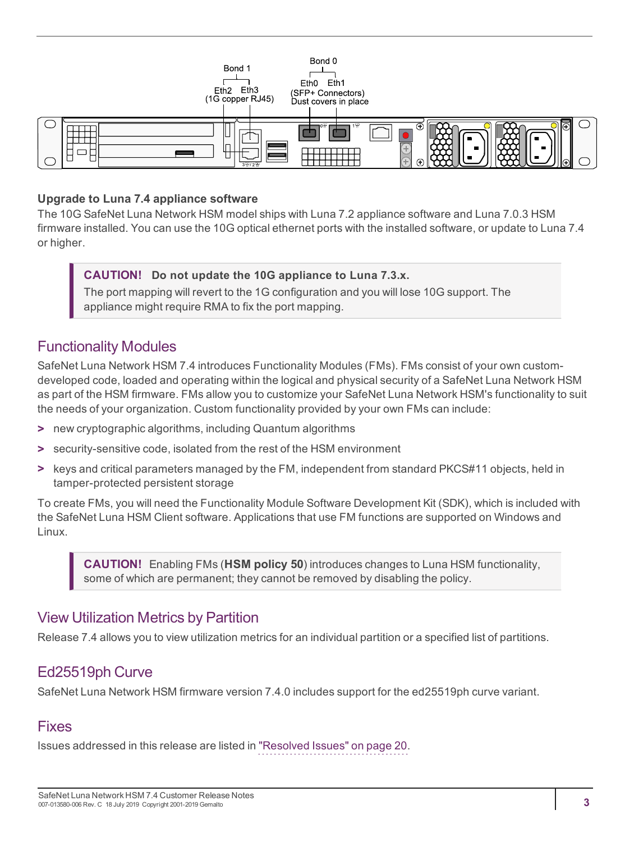

#### **Upgrade to Luna 7.4 appliance software**

The 10G SafeNet Luna Network HSM model ships with Luna 7.2 appliance software and Luna 7.0.3 HSM firmware installed. You can use the 10G optical ethernet ports with the installed software, or update to Luna 7.4 or higher.

#### **CAUTION! Do not update the 10G appliance to Luna 7.3.x.**

The port mapping will revert to the 1G configuration and you will lose 10G support. The appliance might require RMA to fix the port mapping.

#### <span id="page-2-0"></span>Functionality Modules

SafeNet Luna Network HSM 7.4 introduces Functionality Modules (FMs). FMs consist of your own customdeveloped code, loaded and operating within the logical and physical security of a SafeNet Luna Network HSM as part of the HSM firmware. FMs allow you to customize your SafeNet Luna Network HSM's functionality to suit the needs of your organization. Custom functionality provided by your own FMs can include:

- **>** new cryptographic algorithms, including Quantum algorithms
- **>** security-sensitive code, isolated from the rest of the HSM environment
- **>** keys and critical parameters managed by the FM, independent from standard PKCS#11 objects, held in tamper-protected persistent storage

To create FMs, you will need the Functionality Module Software Development Kit (SDK), which is included with the SafeNet Luna HSM Client software. Applications that use FM functions are supported on Windows and Linux.

**CAUTION!** Enabling FMs (**HSM policy 50**) introduces changes to Luna HSM functionality, some of which are permanent; they cannot be removed by disabling the policy.

#### <span id="page-2-1"></span>View Utilization Metrics by Partition

<span id="page-2-2"></span>Release 7.4 allows you to view utilization metrics for an individual partition or a specified list of partitions.

### Ed25519ph Curve

<span id="page-2-3"></span>SafeNet Luna Network HSM firmware version 7.4.0 includes support for the ed25519ph curve variant.

#### Fixes

Issues addressed in this release are listed in "Resolved [Issues" on](#page-19-0) page 20.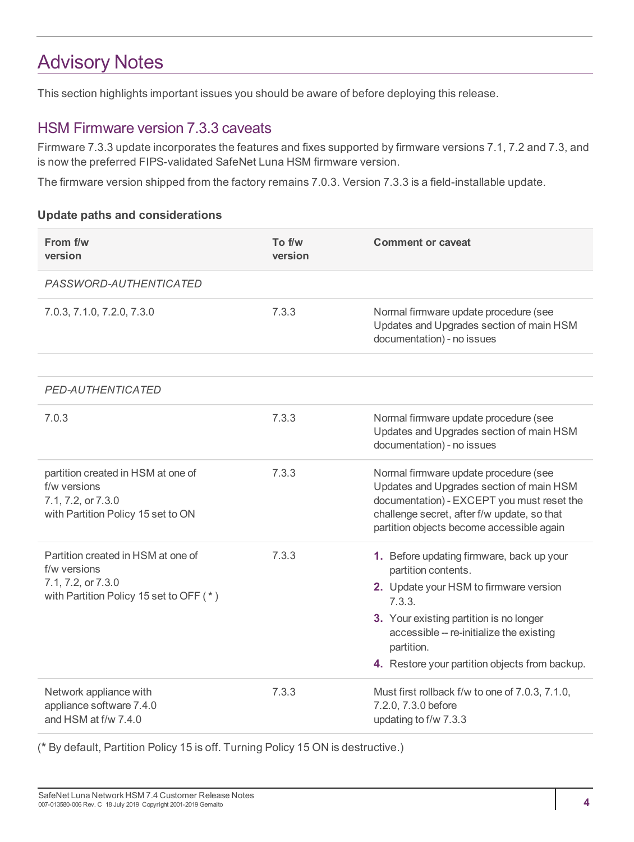# <span id="page-3-0"></span>Advisory Notes

<span id="page-3-1"></span>This section highlights important issues you should be aware of before deploying this release.

#### HSM Firmware version 7.3.3 caveats

Firmware 7.3.3 update incorporates the features and fixes supported by firmware versions 7.1, 7.2 and 7.3, and is now the preferred FIPS-validated SafeNet Luna HSM firmware version.

The firmware version shipped from the factory remains 7.0.3. Version 7.3.3 is a field-installable update.

#### **Update paths and considerations**

| From f/w<br>version                                                                                                 | To f/w<br>version | <b>Comment or caveat</b>                                                                                                                                                                                                                                                    |
|---------------------------------------------------------------------------------------------------------------------|-------------------|-----------------------------------------------------------------------------------------------------------------------------------------------------------------------------------------------------------------------------------------------------------------------------|
| PASSWORD-AUTHENTICATED                                                                                              |                   |                                                                                                                                                                                                                                                                             |
| 7.0.3, 7.1.0, 7.2.0, 7.3.0                                                                                          | 7.3.3             | Normal firmware update procedure (see<br>Updates and Upgrades section of main HSM<br>documentation) - no issues                                                                                                                                                             |
|                                                                                                                     |                   |                                                                                                                                                                                                                                                                             |
| <b>PED-AUTHENTICATED</b>                                                                                            |                   |                                                                                                                                                                                                                                                                             |
| 7.0.3                                                                                                               | 7.3.3             | Normal firmware update procedure (see<br>Updates and Upgrades section of main HSM<br>documentation) - no issues                                                                                                                                                             |
| partition created in HSM at one of<br>f/w versions<br>7.1, 7.2, or 7.3.0<br>with Partition Policy 15 set to ON      | 7.3.3             | Normal firmware update procedure (see<br>Updates and Upgrades section of main HSM<br>documentation) - EXCEPT you must reset the<br>challenge secret, after f/w update, so that<br>partition objects become accessible again                                                 |
| Partition created in HSM at one of<br>f/w versions<br>7.1, 7.2, or 7.3.0<br>with Partition Policy 15 set to OFF (*) | 7.3.3             | 1. Before updating firmware, back up your<br>partition contents.<br>2. Update your HSM to firmware version<br>7.3.3.<br>3. Your existing partition is no longer<br>accessible -- re-initialize the existing<br>partition.<br>4. Restore your partition objects from backup. |
| Network appliance with<br>appliance software 7.4.0<br>and HSM at f/w 7.4.0                                          | 7.3.3             | Must first rollback f/w to one of 7.0.3, 7.1.0,<br>7.2.0, 7.3.0 before<br>updating to f/w 7.3.3                                                                                                                                                                             |

(**\*** By default, Partition Policy 15 is off. Turning Policy 15 ON is destructive.)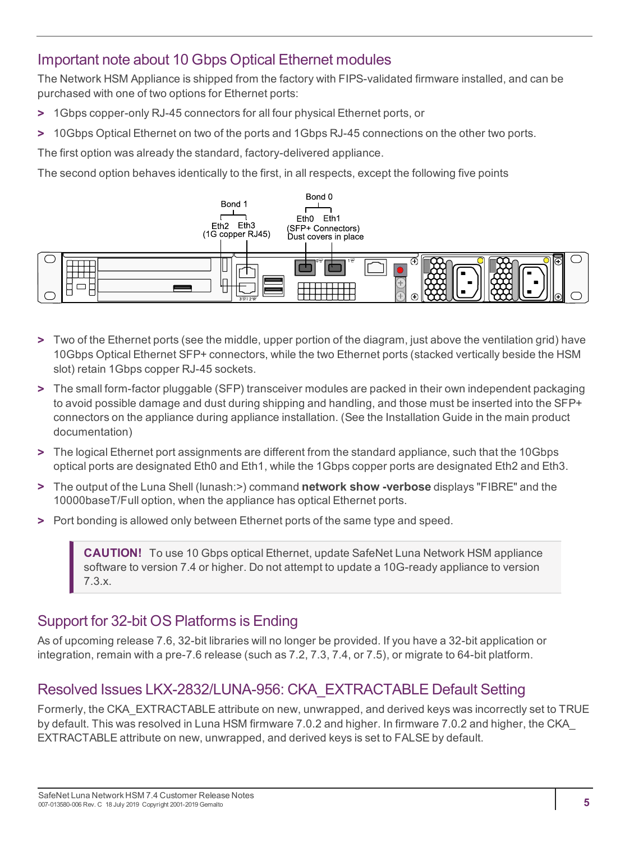# <span id="page-4-0"></span>Important note about 10 Gbps Optical Ethernet modules

The Network HSM Appliance is shipped from the factory with FIPS-validated firmware installed, and can be purchased with one of two options for Ethernet ports:

- **>** 1Gbps copper-only RJ-45 connectors for all four physical Ethernet ports, or
- **>** 10Gbps Optical Ethernet on two of the ports and 1Gbps RJ-45 connections on the other two ports.

The first option was already the standard, factory-delivered appliance.

The second option behaves identically to the first, in all respects, except the following five points



- **>** Two of the Ethernet ports (see the middle, upper portion of the diagram, just above the ventilation grid) have 10Gbps Optical Ethernet SFP+ connectors, while the two Ethernet ports (stacked vertically beside the HSM slot) retain 1Gbps copper RJ-45 sockets.
- **>** The small form-factor pluggable (SFP) transceiver modules are packed in their own independent packaging to avoid possible damage and dust during shipping and handling, and those must be inserted into the SFP+ connectors on the appliance during appliance installation. (See the Installation Guide in the main product documentation)
- **>** The logical Ethernet port assignments are different from the standard appliance, such that the 10Gbps optical ports are designated Eth0 and Eth1, while the 1Gbps copper ports are designated Eth2 and Eth3.
- **>** The output of the Luna Shell (lunash:>) command **network show -verbose** displays "FIBRE" and the 10000baseT/Full option, when the appliance has optical Ethernet ports.
- **>** Port bonding is allowed only between Ethernet ports of the same type and speed.

**CAUTION!** To use 10 Gbps optical Ethernet, update SafeNet Luna Network HSM appliance software to version 7.4 or higher. Do not attempt to update a 10G-ready appliance to version 7.3.x.

# <span id="page-4-1"></span>Support for 32-bit OS Platforms is Ending

As of upcoming release 7.6, 32-bit libraries will no longer be provided. If you have a 32-bit application or integration, remain with a pre-7.6 release (such as 7.2, 7.3, 7.4, or 7.5), or migrate to 64-bit platform.

# <span id="page-4-2"></span>Resolved Issues LKX-2832/LUNA-956: CKA\_EXTRACTABLE Default Setting

Formerly, the CKA\_EXTRACTABLE attribute on new, unwrapped, and derived keys was incorrectly set to TRUE by default. This was resolved in Luna HSM firmware 7.0.2 and higher. In firmware 7.0.2 and higher, the CKA\_ EXTRACTABLE attribute on new, unwrapped, and derived keys is set to FALSE by default.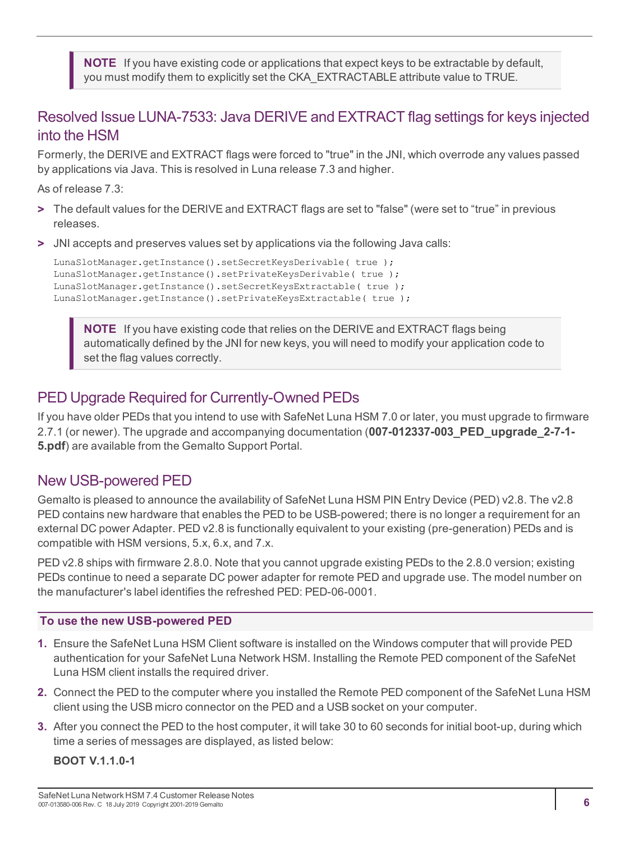**NOTE** If you have existing code or applications that expect keys to be extractable by default, you must modify them to explicitly set the CKA\_EXTRACTABLE attribute value to TRUE.

### <span id="page-5-0"></span>Resolved Issue LUNA-7533: Java DERIVE and EXTRACT flag settings for keys injected into the HSM

Formerly, the DERIVE and EXTRACT flags were forced to "true" in the JNI, which overrode any values passed by applications via Java. This is resolved in Luna release 7.3 and higher.

As of release 7.3:

- **>** The default values for the DERIVE and EXTRACT flags are set to "false" (were set to "true" in previous releases.
- **>** JNI accepts and preserves values set by applications via the following Java calls:

```
LunaSlotManager.getInstance().setSecretKeysDerivable( true );
LunaSlotManager.getInstance().setPrivateKeysDerivable( true );
LunaSlotManager.getInstance().setSecretKeysExtractable( true );
LunaSlotManager.getInstance().setPrivateKeysExtractable( true );
```
**NOTE** If you have existing code that relies on the DERIVE and EXTRACT flags being automatically defined by the JNI for new keys, you will need to modify your application code to set the flag values correctly.

### <span id="page-5-1"></span>PED Upgrade Required for Currently-Owned PEDs

If you have older PEDs that you intend to use with SafeNet Luna HSM 7.0 or later, you must upgrade to firmware 2.7.1 (or newer). The upgrade and accompanying documentation (**007-012337-003\_PED\_upgrade\_2-7-1- 5.pdf**) are available from the Gemalto Support Portal.

# <span id="page-5-2"></span>New USB-powered PED

Gemalto is pleased to announce the availability of SafeNet Luna HSM PIN Entry Device (PED) v2.8. The v2.8 PED contains new hardware that enables the PED to be USB-powered; there is no longer a requirement for an external DC power Adapter. PED v2.8 is functionally equivalent to your existing (pre-generation) PEDs and is compatible with HSM versions, 5.x, 6.x, and 7.x.

PED v2.8 ships with firmware 2.8.0. Note that you cannot upgrade existing PEDs to the 2.8.0 version; existing PEDs continue to need a separate DC power adapter for remote PED and upgrade use. The model number on the manufacturer's label identifies the refreshed PED: PED-06-0001.

#### **To use the new USB-powered PED**

- **1.** Ensure the SafeNet Luna HSM Client software is installed on the Windows computer that will provide PED authentication for your SafeNet Luna Network HSM. Installing the Remote PED component of the SafeNet Luna HSM client installs the required driver.
- **2.** Connect the PED to the computer where you installed the Remote PED component of the SafeNet Luna HSM client using the USB micro connector on the PED and a USB socket on your computer.
- **3.** After you connect the PED to the host computer, it will take 30 to 60 seconds for initial boot-up, during which time a series of messages are displayed, as listed below:

#### **BOOT V.1.1.0-1**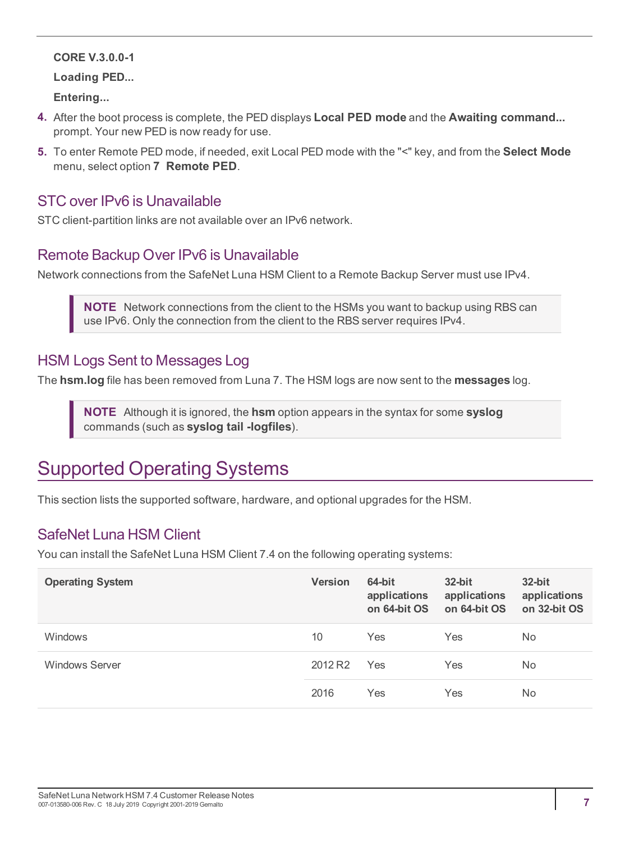#### **CORE V.3.0.0-1**

**Loading PED...**

**Entering...**

- **4.** After the boot process is complete, the PED displays **Local PED mode** and the **Awaiting command...** prompt. Your new PED is now ready for use.
- **5.** To enter Remote PED mode, if needed, exit Local PED mode with the "<" key, and from the **Select Mode** menu, select option **7 Remote PED**.

#### <span id="page-6-0"></span>STC over IPv6 is Unavailable

<span id="page-6-1"></span>STC client-partition links are not available over an IPv6 network.

### Remote Backup Over IPv6 is Unavailable

Network connections from the SafeNet Luna HSM Client to a Remote Backup Server must use IPv4.

**NOTE** Network connections from the client to the HSMs you want to backup using RBS can use IPv6. Only the connection from the client to the RBS server requires IPv4.

### <span id="page-6-2"></span>HSM Logs Sent to Messages Log

The **hsm.log** file has been removed from Luna 7. The HSM logs are now sent to the **messages** log.

**NOTE** Although it is ignored, the **hsm** option appears in the syntax for some **syslog** commands (such as **syslog tail -logfiles**).

# <span id="page-6-3"></span>Supported Operating Systems

<span id="page-6-4"></span>This section lists the supported software, hardware, and optional upgrades for the HSM.

### SafeNet Luna HSM Client

You can install the SafeNet Luna HSM Client 7.4 on the following operating systems:

| <b>Operating System</b> | <b>Version</b>      | 64-bit<br>applications<br>on 64-bit OS | $32$ -bit<br>applications<br>on 64-bit OS | $32$ -bit<br>applications<br>on 32-bit OS |
|-------------------------|---------------------|----------------------------------------|-------------------------------------------|-------------------------------------------|
| Windows                 | 10                  | Yes                                    | Yes                                       | No.                                       |
| <b>Windows Server</b>   | 2012 R <sub>2</sub> | Yes                                    | Yes                                       | No.                                       |
|                         | 2016                | Yes                                    | Yes                                       | No.                                       |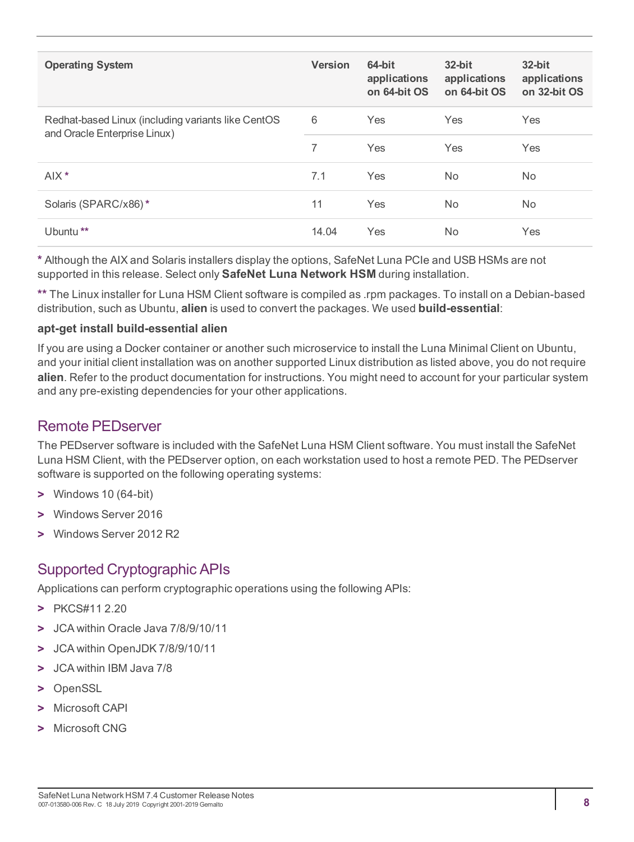| <b>Operating System</b>                                                            | <b>Version</b> | 64-bit<br>applications<br>on 64-bit OS | $32$ -bit<br>applications<br>on 64-bit OS | $32$ -bit<br>applications<br>on 32-bit OS |
|------------------------------------------------------------------------------------|----------------|----------------------------------------|-------------------------------------------|-------------------------------------------|
| Redhat-based Linux (including variants like CentOS<br>and Oracle Enterprise Linux) | 6              | Yes                                    | Yes                                       | <b>Yes</b>                                |
|                                                                                    | 7              | Yes                                    | Yes                                       | <b>Yes</b>                                |
| $AIX^*$                                                                            | 7.1            | Yes                                    | No.                                       | No.                                       |
| Solaris (SPARC/x86)*                                                               | 11             | Yes                                    | No.                                       | N <sub>o</sub>                            |
| Ubuntu <sup>**</sup>                                                               | 14.04          | Yes                                    | No.                                       | Yes                                       |

**\*** Although the AIX and Solaris installers display the options, SafeNet Luna PCIe and USB HSMs are not supported in this release. Select only **SafeNet Luna Network HSM** during installation.

**\*\*** The Linux installer for Luna HSM Client software is compiled as .rpm packages. To install on a Debian-based distribution, such as Ubuntu, **alien** is used to convert the packages. We used **build-essential**:

#### **apt-get install build-essential alien**

If you are using a Docker container or another such microservice to install the Luna Minimal Client on Ubuntu, and your initial client installation was on another supported Linux distribution as listed above, you do not require **alien**. Refer to the product documentation for instructions. You might need to account for your particular system and any pre-existing dependencies for your other applications.

#### <span id="page-7-0"></span>Remote PEDserver

The PEDserver software is included with the SafeNet Luna HSM Client software. You must install the SafeNet Luna HSM Client, with the PEDserver option, on each workstation used to host a remote PED. The PEDserver software is supported on the following operating systems:

- **>** Windows 10 (64-bit)
- **>** Windows Server 2016
- <span id="page-7-1"></span>**>** Windows Server 2012 R2

# Supported Cryptographic APIs

Applications can perform cryptographic operations using the following APIs:

- **>** PKCS#11 2.20
- **>** JCA within Oracle Java 7/8/9/10/11
- **>** JCA within OpenJDK 7/8/9/10/11
- **>** JCA within IBM Java 7/8
- **>** OpenSSL
- **>** Microsoft CAPI
- **>** Microsoft CNG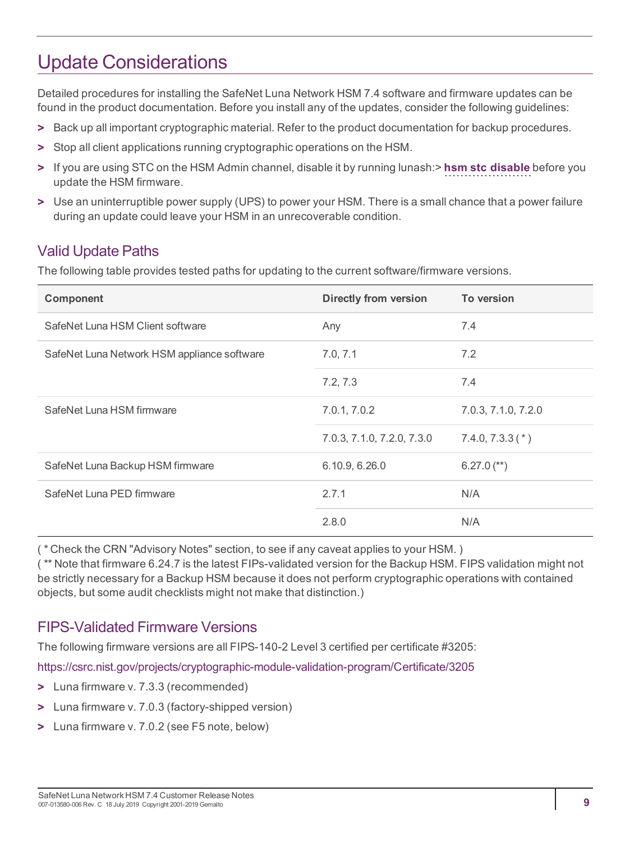# <span id="page-8-0"></span>Update Considerations

Detailed procedures for installing the SafeNet Luna Network HSM 7.4 software and firmware updates can be found in the product documentation. Before you install any of the updates, consider the following guidelines:

- **>** Back up all important cryptographic material. Refer to the product documentation for backup procedures.
- **>** Stop all client applications running cryptographic operations on the HSM.
- **>** If you are using STC on the HSM Admin channel, disable it by running lunash:> **hsm stc disable** before you update the HSM firmware.
- **>** Use an uninterruptible power supply (UPS) to power your HSM. There is a small chance that a power failure during an update could leave your HSM in an unrecoverable condition.

### <span id="page-8-1"></span>Valid Update Paths

The following table provides tested paths for updating to the current software/firmware versions.

| Component                                   | <b>Directly from version</b> | To version          |
|---------------------------------------------|------------------------------|---------------------|
| SafeNet Luna HSM Client software            | Any                          | 7.4                 |
| SafeNet Luna Network HSM appliance software | 7.0, 7.1                     | 7.2                 |
|                                             | 7.2, 7.3                     | 7.4                 |
| SafeNet Luna HSM firmware                   | 7.0.1, 7.0.2                 | 7.0.3, 7.1.0, 7.2.0 |
|                                             | 7.0.3, 7.1.0, 7.2.0, 7.3.0   | $7.4.0, 7.3.3(*)$   |
| SafeNet Luna Backup HSM firmware            | 6.10.9, 6.26.0               | $6.27.0$ (**)       |
| SafeNet Luna PED firmware                   | 2.7.1                        | N/A                 |
|                                             | 2.8.0                        | N/A                 |

( \* Check the CRN "Advisory Notes" section, to see if any caveat applies to your HSM. )

( \*\* Note that firmware 6.24.7 is the latest FIPs-validated version for the Backup HSM. FIPS validation might not be strictly necessary for a Backup HSM because it does not perform cryptographic operations with contained objects, but some audit checklists might not make that distinction.)

#### <span id="page-8-2"></span>FIPS-Validated Firmware Versions

The following firmware versions are all FIPS-140-2 Level 3 certified per certificate #3205:

<https://csrc.nist.gov/projects/cryptographic-module-validation-program/Certificate/3205>

- **>** Luna firmware v. 7.3.3 (recommended)
- **>** Luna firmware v. 7.0.3 (factory-shipped version)
- **>** Luna firmware v. 7.0.2 (see F5 note, below)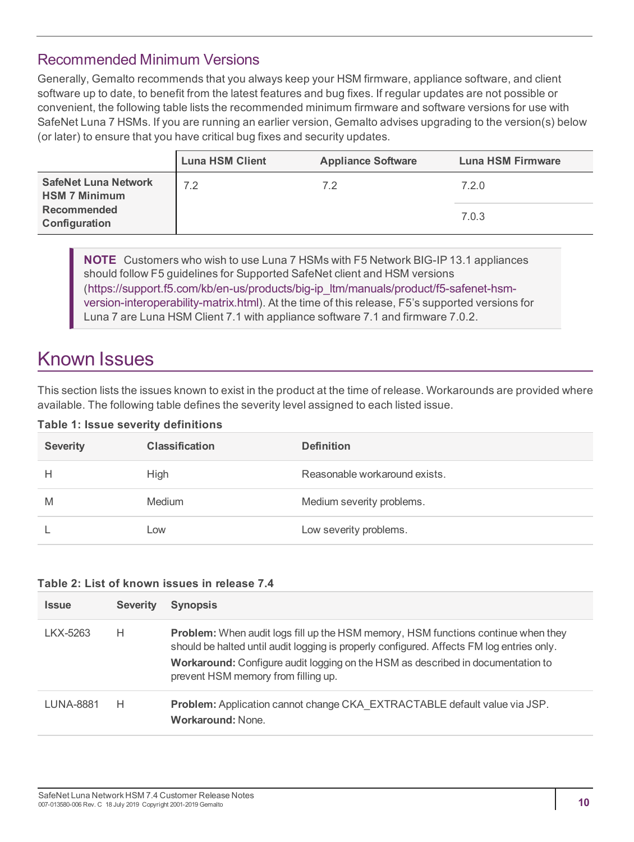### <span id="page-9-0"></span>Recommended Minimum Versions

Generally, Gemalto recommends that you always keep your HSM firmware, appliance software, and client software up to date, to benefit from the latest features and bug fixes. If regular updates are not possible or convenient, the following table lists the recommended minimum firmware and software versions for use with SafeNet Luna 7 HSMs. If you are running an earlier version, Gemalto advises upgrading to the version(s) below (or later) to ensure that you have critical bug fixes and security updates.

|                                                     | <b>Luna HSM Client</b> | <b>Appliance Software</b> | Luna HSM Firmware |
|-----------------------------------------------------|------------------------|---------------------------|-------------------|
| <b>SafeNet Luna Network</b><br><b>HSM 7 Minimum</b> | 7.2                    | 72                        | 7.2.0             |
| <b>Recommended</b><br>Configuration                 |                        |                           | 7.0.3             |

**NOTE** Customers who wish to use Luna 7 HSMs with F5 Network BIG-IP 13.1 appliances should follow F5 guidelines for Supported SafeNet client and HSM versions ([https://support.f5.com/kb/en-us/products/big-ip\\_ltm/manuals/product/f5-safenet-hsm](https://support.f5.com/kb/en-us/products/big-ip_ltm/manuals/product/f5-safenet-hsm-version-interoperability-matrix.html)[version-interoperability-matrix.html](https://support.f5.com/kb/en-us/products/big-ip_ltm/manuals/product/f5-safenet-hsm-version-interoperability-matrix.html)). At the time of this release, F5's supported versions for Luna 7 are Luna HSM Client 7.1 with appliance software 7.1 and firmware 7.0.2.

# <span id="page-9-1"></span>Known Issues

This section lists the issues known to exist in the product at the time of release. Workarounds are provided where available. The following table defines the severity level assigned to each listed issue.

#### **Table 1: Issue severity definitions**

| <b>Severity</b> | <b>Classification</b> | <b>Definition</b>             |
|-----------------|-----------------------|-------------------------------|
| н               | High                  | Reasonable workaround exists. |
| M               | Medium                | Medium severity problems.     |
|                 | Low                   | Low severity problems.        |

#### **Table 2: List of known issues in release 7.4**

| <b>Issue</b>     | <b>Severity</b> | <b>Synopsis</b>                                                                                                                                                                                                                                                                                                 |
|------------------|-----------------|-----------------------------------------------------------------------------------------------------------------------------------------------------------------------------------------------------------------------------------------------------------------------------------------------------------------|
| LKX-5263         | Н               | <b>Problem:</b> When audit logs fill up the HSM memory, HSM functions continue when they<br>should be halted until audit logging is properly configured. Affects FM log entries only.<br>Workaround: Configure audit logging on the HSM as described in documentation to<br>prevent HSM memory from filling up. |
| <b>LUNA-8881</b> | Н               | Problem: Application cannot change CKA EXTRACTABLE default value via JSP.<br><b>Workaround: None.</b>                                                                                                                                                                                                           |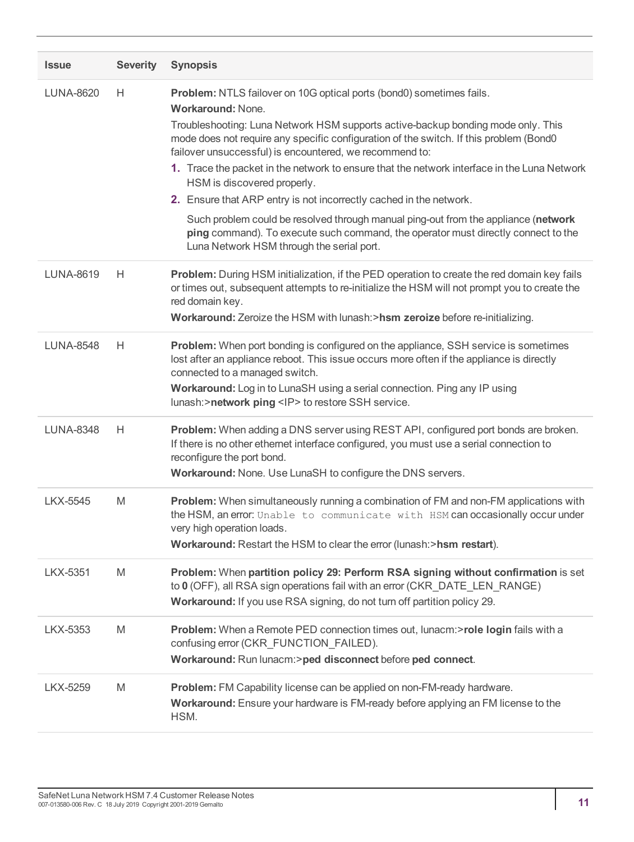| <b>Issue</b>     | <b>Severity</b> | <b>Synopsis</b>                                                                                                                                                                                                                                                                                                                                                                                                                                                                                                                                                                                                                                                                                                                                                       |
|------------------|-----------------|-----------------------------------------------------------------------------------------------------------------------------------------------------------------------------------------------------------------------------------------------------------------------------------------------------------------------------------------------------------------------------------------------------------------------------------------------------------------------------------------------------------------------------------------------------------------------------------------------------------------------------------------------------------------------------------------------------------------------------------------------------------------------|
| <b>LUNA-8620</b> | Н               | Problem: NTLS failover on 10G optical ports (bond0) sometimes fails.<br><b>Workaround: None.</b><br>Troubleshooting: Luna Network HSM supports active-backup bonding mode only. This<br>mode does not require any specific configuration of the switch. If this problem (Bond0<br>failover unsuccessful) is encountered, we recommend to:<br>1. Trace the packet in the network to ensure that the network interface in the Luna Network<br>HSM is discovered properly.<br>2. Ensure that ARP entry is not incorrectly cached in the network.<br>Such problem could be resolved through manual ping-out from the appliance (network<br>ping command). To execute such command, the operator must directly connect to the<br>Luna Network HSM through the serial port. |
| <b>LUNA-8619</b> | H               | Problem: During HSM initialization, if the PED operation to create the red domain key fails<br>or times out, subsequent attempts to re-initialize the HSM will not prompt you to create the<br>red domain key.<br>Workaround: Zeroize the HSM with lunash:>hsm zeroize before re-initializing.                                                                                                                                                                                                                                                                                                                                                                                                                                                                        |
| <b>LUNA-8548</b> | H.              | Problem: When port bonding is configured on the appliance, SSH service is sometimes<br>lost after an appliance reboot. This issue occurs more often if the appliance is directly<br>connected to a managed switch.<br>Workaround: Log in to LunaSH using a serial connection. Ping any IP using<br>lunash:>network ping <ip> to restore SSH service.</ip>                                                                                                                                                                                                                                                                                                                                                                                                             |
| <b>LUNA-8348</b> | H               | Problem: When adding a DNS server using REST API, configured port bonds are broken.<br>If there is no other ethernet interface configured, you must use a serial connection to<br>reconfigure the port bond.<br>Workaround: None. Use LunaSH to configure the DNS servers.                                                                                                                                                                                                                                                                                                                                                                                                                                                                                            |
| <b>LKX-5545</b>  | M               | Problem: When simultaneously running a combination of FM and non-FM applications with<br>the HSM, an error: Unable to communicate with HSM can occasionally occur under<br>very high operation loads.<br>Workaround: Restart the HSM to clear the error (lunash:>hsm restart).                                                                                                                                                                                                                                                                                                                                                                                                                                                                                        |
| <b>LKX-5351</b>  | M               | Problem: When partition policy 29: Perform RSA signing without confirmation is set<br>to 0 (OFF), all RSA sign operations fail with an error (CKR_DATE_LEN_RANGE)<br>Workaround: If you use RSA signing, do not turn off partition policy 29.                                                                                                                                                                                                                                                                                                                                                                                                                                                                                                                         |
| LKX-5353         | M               | Problem: When a Remote PED connection times out, lunacm:>role login fails with a<br>confusing error (CKR_FUNCTION_FAILED).<br>Workaround: Run lunacm:>ped disconnect before ped connect.                                                                                                                                                                                                                                                                                                                                                                                                                                                                                                                                                                              |
| <b>LKX-5259</b>  | M               | Problem: FM Capability license can be applied on non-FM-ready hardware.<br>Workaround: Ensure your hardware is FM-ready before applying an FM license to the<br>HSM.                                                                                                                                                                                                                                                                                                                                                                                                                                                                                                                                                                                                  |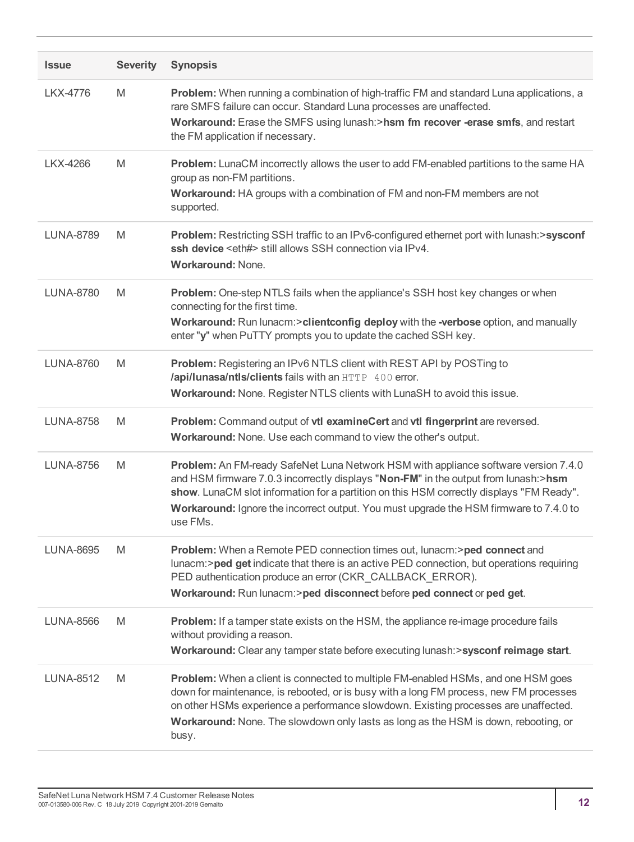| <b>Issue</b>     | <b>Severity</b> | <b>Synopsis</b>                                                                                                                                                                                                                                                                                                                                                              |
|------------------|-----------------|------------------------------------------------------------------------------------------------------------------------------------------------------------------------------------------------------------------------------------------------------------------------------------------------------------------------------------------------------------------------------|
| <b>LKX-4776</b>  | M               | Problem: When running a combination of high-traffic FM and standard Luna applications, a<br>rare SMFS failure can occur. Standard Luna processes are unaffected.<br>Workaround: Erase the SMFS using lunash:>hsm fm recover -erase smfs, and restart<br>the FM application if necessary.                                                                                     |
| LKX-4266         | M               | <b>Problem:</b> LunaCM incorrectly allows the user to add FM-enabled partitions to the same HA<br>group as non-FM partitions.<br>Workaround: HA groups with a combination of FM and non-FM members are not<br>supported.                                                                                                                                                     |
| <b>LUNA-8789</b> | M               | Problem: Restricting SSH traffic to an IPv6-configured ethernet port with lunash:>sysconf<br>ssh device <eth#> still allows SSH connection via IPv4.<br/><b>Workaround: None.</b></eth#>                                                                                                                                                                                     |
| <b>LUNA-8780</b> | M               | Problem: One-step NTLS fails when the appliance's SSH host key changes or when<br>connecting for the first time.<br>Workaround: Run lunacm:>clientconfig deploy with the -verbose option, and manually<br>enter "y" when PuTTY prompts you to update the cached SSH key.                                                                                                     |
| <b>LUNA-8760</b> | M               | Problem: Registering an IPv6 NTLS client with REST API by POSTing to<br>/api/lunasa/ntls/clients fails with an HTTP 400 error.<br>Workaround: None. Register NTLS clients with LunaSH to avoid this issue.                                                                                                                                                                   |
| <b>LUNA-8758</b> | M               | Problem: Command output of vtl examineCert and vtl fingerprint are reversed.<br>Workaround: None. Use each command to view the other's output.                                                                                                                                                                                                                               |
| <b>LUNA-8756</b> | M               | Problem: An FM-ready SafeNet Luna Network HSM with appliance software version 7.4.0<br>and HSM firmware 7.0.3 incorrectly displays "Non-FM" in the output from lunash:>hsm<br>show. LunaCM slot information for a partition on this HSM correctly displays "FM Ready".<br>Workaround: Ignore the incorrect output. You must upgrade the HSM firmware to 7.4.0 to<br>use FMs. |
| <b>LUNA-8695</b> | M               | Problem: When a Remote PED connection times out, lunacm:>ped connect and<br>lunacm:>ped get indicate that there is an active PED connection, but operations requiring<br>PED authentication produce an error (CKR_CALLBACK_ERROR).<br>Workaround: Run lunacm:>ped disconnect before ped connect or ped get.                                                                  |
| <b>LUNA-8566</b> | M               | <b>Problem:</b> If a tamper state exists on the HSM, the appliance re-image procedure fails<br>without providing a reason.<br>Workaround: Clear any tamper state before executing lunash: > sysconf reimage start.                                                                                                                                                           |
| <b>LUNA-8512</b> | M               | <b>Problem:</b> When a client is connected to multiple FM-enabled HSMs, and one HSM goes<br>down for maintenance, is rebooted, or is busy with a long FM process, new FM processes<br>on other HSMs experience a performance slowdown. Existing processes are unaffected.<br>Workaround: None. The slowdown only lasts as long as the HSM is down, rebooting, or<br>busy.    |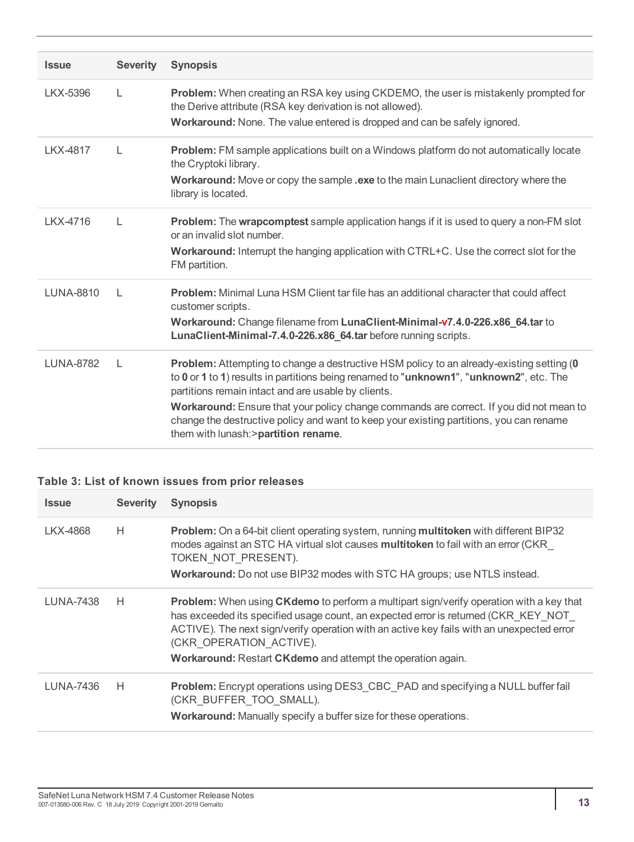| <b>Issue</b>     | <b>Severity</b> | <b>Synopsis</b>                                                                                                                                                                                                                                                                                                                                                                                                                                                                  |
|------------------|-----------------|----------------------------------------------------------------------------------------------------------------------------------------------------------------------------------------------------------------------------------------------------------------------------------------------------------------------------------------------------------------------------------------------------------------------------------------------------------------------------------|
| LKX-5396         | L               | Problem: When creating an RSA key using CKDEMO, the user is mistakenly prompted for<br>the Derive attribute (RSA key derivation is not allowed).<br>Workaround: None. The value entered is dropped and can be safely ignored.                                                                                                                                                                                                                                                    |
| LKX-4817         | $\mathbf{L}$    | <b>Problem:</b> FM sample applications built on a Windows platform do not automatically locate<br>the Cryptoki library.<br>Workaround: Move or copy the sample .exe to the main Lunaclient directory where the<br>library is located.                                                                                                                                                                                                                                            |
| LKX-4716         | L               | <b>Problem:</b> The wrapcomptest sample application hangs if it is used to query a non-FM slot<br>or an invalid slot number.<br><b>Workaround:</b> Interrupt the hanging application with CTRL+C. Use the correct slot for the<br>FM partition.                                                                                                                                                                                                                                  |
| <b>LUNA-8810</b> | $\mathbf{L}$    | <b>Problem:</b> Minimal Luna HSM Client tar file has an additional character that could affect<br>customer scripts.<br>Workaround: Change filename from LunaClient-Minimal-v7.4.0-226.x86_64.tar to<br>LunaClient-Minimal-7.4.0-226.x86_64.tar before running scripts.                                                                                                                                                                                                           |
| <b>LUNA-8782</b> | $\mathsf{L}$    | <b>Problem:</b> Attempting to change a destructive HSM policy to an already-existing setting (0<br>to 0 or 1 to 1) results in partitions being renamed to "unknown1", "unknown2", etc. The<br>partitions remain intact and are usable by clients.<br>Workaround: Ensure that your policy change commands are correct. If you did not mean to<br>change the destructive policy and want to keep your existing partitions, you can rename<br>them with lunash: > partition rename. |

#### **Table 3: List of known issues from prior releases**

| <b>Issue</b> | <b>Severity</b> | <b>Synopsis</b>                                                                                                                                                                                                                                                                                                                                                                    |
|--------------|-----------------|------------------------------------------------------------------------------------------------------------------------------------------------------------------------------------------------------------------------------------------------------------------------------------------------------------------------------------------------------------------------------------|
| LKX-4868     | H               | <b>Problem:</b> On a 64-bit client operating system, running multitoken with different BIP32<br>modes against an STC HA virtual slot causes multitoken to fail with an error (CKR<br>TOKEN NOT PRESENT).<br><b>Workaround:</b> Do not use BIP32 modes with STC HA groups; use NTLS instead.                                                                                        |
| LUNA-7438    | H               | <b>Problem:</b> When using <b>CKdemo</b> to perform a multipart sign/verify operation with a key that<br>has exceeded its specified usage count, an expected error is returned (CKR KEY NOT<br>ACTIVE). The next sign/verify operation with an active key fails with an unexpected error<br>(CKR OPERATION ACTIVE).<br>Workaround: Restart CKdemo and attempt the operation again. |
| LUNA-7436    | H               | <b>Problem:</b> Encrypt operations using DES3 CBC PAD and specifying a NULL buffer fail<br>(CKR BUFFER TOO SMALL).<br>Workaround: Manually specify a buffer size for these operations.                                                                                                                                                                                             |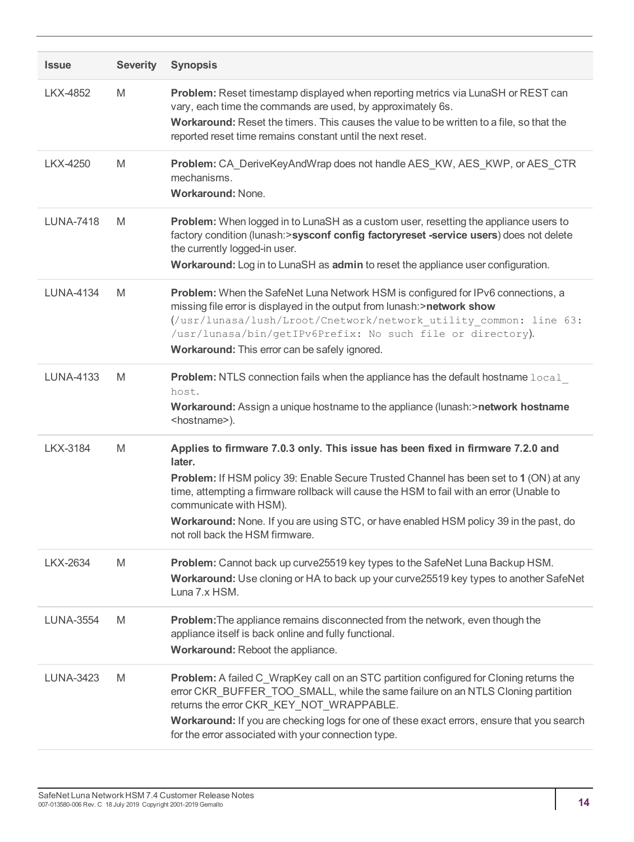| <b>Issue</b>     | <b>Severity</b> | <b>Synopsis</b>                                                                                                                                                                                                                                                                                                                                                                                                                       |
|------------------|-----------------|---------------------------------------------------------------------------------------------------------------------------------------------------------------------------------------------------------------------------------------------------------------------------------------------------------------------------------------------------------------------------------------------------------------------------------------|
| LKX-4852         | M               | Problem: Reset timestamp displayed when reporting metrics via LunaSH or REST can<br>vary, each time the commands are used, by approximately 6s.<br>Workaround: Reset the timers. This causes the value to be written to a file, so that the<br>reported reset time remains constant until the next reset.                                                                                                                             |
| LKX-4250         | M               | Problem: CA_DeriveKeyAndWrap does not handle AES_KW, AES_KWP, or AES_CTR<br>mechanisms.<br><b>Workaround: None.</b>                                                                                                                                                                                                                                                                                                                   |
| <b>LUNA-7418</b> | M               | <b>Problem:</b> When logged in to LunaSH as a custom user, resetting the appliance users to<br>factory condition (lunash:>sysconf config factoryreset -service users) does not delete<br>the currently logged-in user.<br>Workaround: Log in to LunaSH as admin to reset the appliance user configuration.                                                                                                                            |
| <b>LUNA-4134</b> | M               | Problem: When the SafeNet Luna Network HSM is configured for IPv6 connections, a<br>missing file error is displayed in the output from lunash:>network show<br>(/usr/lunasa/lush/Lroot/Cnetwork/network utility common: line 63:<br>/usr/lunasa/bin/getIPv6Prefix: No such file or directory).<br>Workaround: This error can be safely ignored.                                                                                       |
| <b>LUNA-4133</b> | M               | Problem: NTLS connection fails when the appliance has the default hostname local<br>host.<br>Workaround: Assign a unique hostname to the appliance (lunash: > network hostname<br><hostname>).</hostname>                                                                                                                                                                                                                             |
| <b>LKX-3184</b>  | M               | Applies to firmware 7.0.3 only. This issue has been fixed in firmware 7.2.0 and<br>later.<br>Problem: If HSM policy 39: Enable Secure Trusted Channel has been set to 1 (ON) at any<br>time, attempting a firmware rollback will cause the HSM to fail with an error (Unable to<br>communicate with HSM).<br>Workaround: None. If you are using STC, or have enabled HSM policy 39 in the past, do<br>not roll back the HSM firmware. |
| <b>LKX-2634</b>  | M               | Problem: Cannot back up curve25519 key types to the SafeNet Luna Backup HSM.<br>Workaround: Use cloning or HA to back up your curve25519 key types to another SafeNet<br>Luna 7.x HSM.                                                                                                                                                                                                                                                |
| <b>LUNA-3554</b> | M               | <b>Problem:</b> The appliance remains disconnected from the network, even though the<br>appliance itself is back online and fully functional.<br>Workaround: Reboot the appliance.                                                                                                                                                                                                                                                    |
| LUNA-3423        | M               | Problem: A failed C_WrapKey call on an STC partition configured for Cloning returns the<br>error CKR_BUFFER_TOO_SMALL, while the same failure on an NTLS Cloning partition<br>returns the error CKR_KEY_NOT_WRAPPABLE.<br>Workaround: If you are checking logs for one of these exact errors, ensure that you search<br>for the error associated with your connection type.                                                           |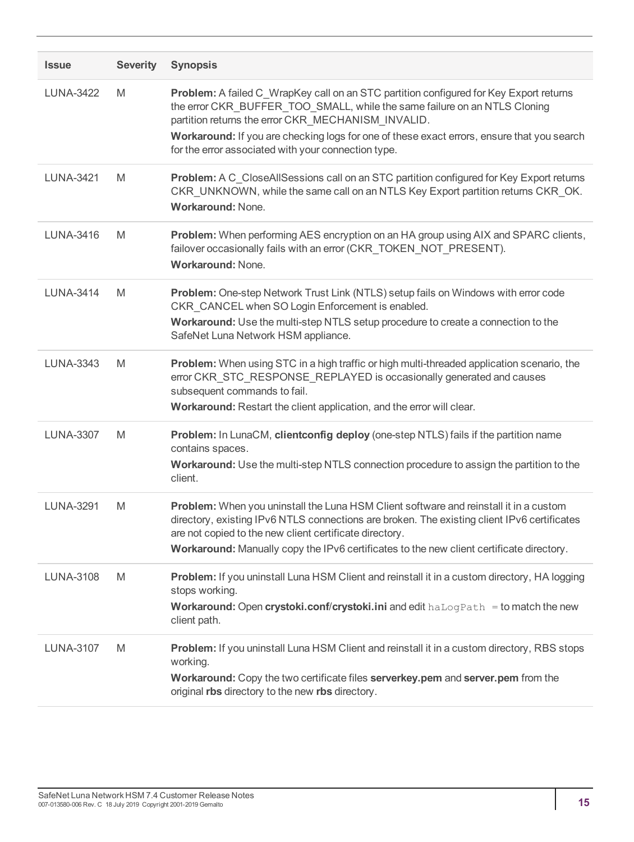| <b>Issue</b>     | <b>Severity</b> | <b>Synopsis</b>                                                                                                                                                                                                                                                                                                                                                                |
|------------------|-----------------|--------------------------------------------------------------------------------------------------------------------------------------------------------------------------------------------------------------------------------------------------------------------------------------------------------------------------------------------------------------------------------|
| <b>LUNA-3422</b> | M               | Problem: A failed C_WrapKey call on an STC partition configured for Key Export returns<br>the error CKR_BUFFER_TOO_SMALL, while the same failure on an NTLS Cloning<br>partition returns the error CKR MECHANISM INVALID.<br>Workaround: If you are checking logs for one of these exact errors, ensure that you search<br>for the error associated with your connection type. |
| <b>LUNA-3421</b> | M               | Problem: A C_CloseAllSessions call on an STC partition configured for Key Export returns<br>CKR_UNKNOWN, while the same call on an NTLS Key Export partition returns CKR_OK.<br><b>Workaround: None.</b>                                                                                                                                                                       |
| LUNA-3416        | M               | Problem: When performing AES encryption on an HA group using AIX and SPARC clients,<br>failover occasionally fails with an error (CKR_TOKEN_NOT_PRESENT).<br>Workaround: None.                                                                                                                                                                                                 |
| <b>LUNA-3414</b> | M               | Problem: One-step Network Trust Link (NTLS) setup fails on Windows with error code<br>CKR_CANCEL when SO Login Enforcement is enabled.<br>Workaround: Use the multi-step NTLS setup procedure to create a connection to the<br>SafeNet Luna Network HSM appliance.                                                                                                             |
| <b>LUNA-3343</b> | M               | Problem: When using STC in a high traffic or high multi-threaded application scenario, the<br>error CKR_STC_RESPONSE_REPLAYED is occasionally generated and causes<br>subsequent commands to fail.<br>Workaround: Restart the client application, and the error will clear.                                                                                                    |
| <b>LUNA-3307</b> | M               | Problem: In LunaCM, clientconfig deploy (one-step NTLS) fails if the partition name<br>contains spaces.<br>Workaround: Use the multi-step NTLS connection procedure to assign the partition to the<br>client.                                                                                                                                                                  |
| <b>LUNA-3291</b> | M               | Problem: When you uninstall the Luna HSM Client software and reinstall it in a custom<br>directory, existing IPv6 NTLS connections are broken. The existing client IPv6 certificates<br>are not copied to the new client certificate directory.<br>Workaround: Manually copy the IPv6 certificates to the new client certificate directory.                                    |
| <b>LUNA-3108</b> | M               | Problem: If you uninstall Luna HSM Client and reinstall it in a custom directory, HA logging<br>stops working.<br><b>Workaround: Open crystoki.conf/crystoki.ini</b> and edit $haLogPath = to$ match the new<br>client path.                                                                                                                                                   |
| <b>LUNA-3107</b> | M               | Problem: If you uninstall Luna HSM Client and reinstall it in a custom directory, RBS stops<br>working.<br>Workaround: Copy the two certificate files serverkey.pem and server.pem from the<br>original rbs directory to the new rbs directory.                                                                                                                                |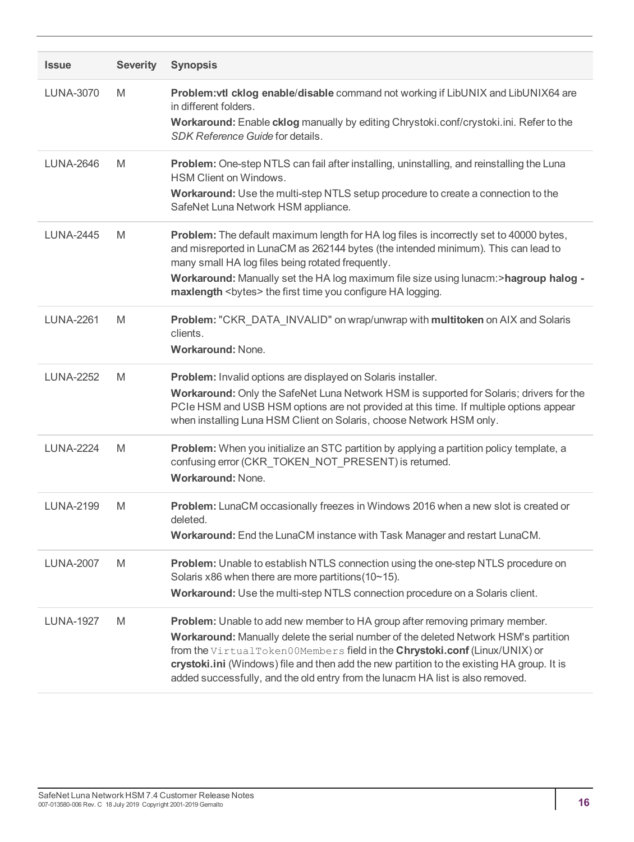| <b>Issue</b>     | <b>Severity</b> | <b>Synopsis</b>                                                                                                                                                                                                                                                                                                                                                                                                                           |
|------------------|-----------------|-------------------------------------------------------------------------------------------------------------------------------------------------------------------------------------------------------------------------------------------------------------------------------------------------------------------------------------------------------------------------------------------------------------------------------------------|
| <b>LUNA-3070</b> | M               | Problem: vtl cklog enable/disable command not working if LibUNIX and LibUNIX64 are<br>in different folders.<br>Workaround: Enable cklog manually by editing Chrystoki.conf/crystoki.ini. Refer to the<br>SDK Reference Guide for details.                                                                                                                                                                                                 |
| <b>LUNA-2646</b> | M               | Problem: One-step NTLS can fail after installing, uninstalling, and reinstalling the Luna<br><b>HSM Client on Windows.</b><br>Workaround: Use the multi-step NTLS setup procedure to create a connection to the<br>SafeNet Luna Network HSM appliance.                                                                                                                                                                                    |
| <b>LUNA-2445</b> | M               | Problem: The default maximum length for HA log files is incorrectly set to 40000 bytes,<br>and misreported in LunaCM as 262144 bytes (the intended minimum). This can lead to<br>many small HA log files being rotated frequently.<br>Workaround: Manually set the HA log maximum file size using lunacm:>hagroup halog -<br>maxlength<br>bytes> the first time you configure HA logging.                                                 |
| <b>LUNA-2261</b> | M               | Problem: "CKR DATA INVALID" on wrap/unwrap with multitoken on AIX and Solaris<br>clients.<br><b>Workaround: None.</b>                                                                                                                                                                                                                                                                                                                     |
| <b>LUNA-2252</b> | M               | Problem: Invalid options are displayed on Solaris installer.<br>Workaround: Only the SafeNet Luna Network HSM is supported for Solaris; drivers for the<br>PCIe HSM and USB HSM options are not provided at this time. If multiple options appear<br>when installing Luna HSM Client on Solaris, choose Network HSM only.                                                                                                                 |
| LUNA-2224        | M               | Problem: When you initialize an STC partition by applying a partition policy template, a<br>confusing error (CKR_TOKEN_NOT_PRESENT) is returned.<br>Workaround: None.                                                                                                                                                                                                                                                                     |
| <b>LUNA-2199</b> | M               | Problem: LunaCM occasionally freezes in Windows 2016 when a new slot is created or<br>deleted.<br>Workaround: End the LunaCM instance with Task Manager and restart LunaCM.                                                                                                                                                                                                                                                               |
| <b>LUNA-2007</b> | M               | Problem: Unable to establish NTLS connection using the one-step NTLS procedure on<br>Solaris x86 when there are more partitions (10~15).<br>Workaround: Use the multi-step NTLS connection procedure on a Solaris client.                                                                                                                                                                                                                 |
| <b>LUNA-1927</b> | M               | <b>Problem:</b> Unable to add new member to HA group after removing primary member.<br>Workaround: Manually delete the serial number of the deleted Network HSM's partition<br>from the VirtualToken00Members field in the Chrystoki.conf (Linux/UNIX) or<br>crystoki.ini (Windows) file and then add the new partition to the existing HA group. It is<br>added successfully, and the old entry from the lunacm HA list is also removed. |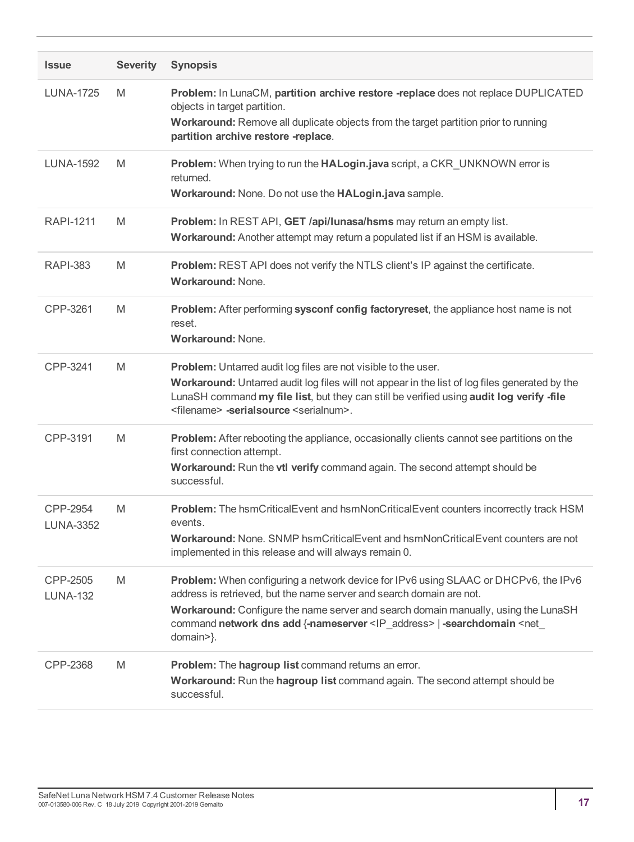| <b>Issue</b>                 | <b>Severity</b> | <b>Synopsis</b>                                                                                                                                                                                                                                                                                                                                                     |
|------------------------------|-----------------|---------------------------------------------------------------------------------------------------------------------------------------------------------------------------------------------------------------------------------------------------------------------------------------------------------------------------------------------------------------------|
| <b>LUNA-1725</b>             | M               | Problem: In LunaCM, partition archive restore -replace does not replace DUPLICATED<br>objects in target partition.<br>Workaround: Remove all duplicate objects from the target partition prior to running<br>partition archive restore -replace.                                                                                                                    |
| <b>LUNA-1592</b>             | M               | Problem: When trying to run the HALogin.java script, a CKR_UNKNOWN error is<br>returned.<br>Workaround: None. Do not use the HALogin.java sample.                                                                                                                                                                                                                   |
| <b>RAPI-1211</b>             | M               | Problem: In REST API, GET /api/lunasa/hsms may return an empty list.<br>Workaround: Another attempt may return a populated list if an HSM is available.                                                                                                                                                                                                             |
| <b>RAPI-383</b>              | M               | Problem: REST API does not verify the NTLS client's IP against the certificate.<br><b>Workaround: None.</b>                                                                                                                                                                                                                                                         |
| CPP-3261                     | M               | Problem: After performing sysconf config factoryreset, the appliance host name is not<br>reset.<br><b>Workaround: None.</b>                                                                                                                                                                                                                                         |
| CPP-3241                     | M               | <b>Problem:</b> Untarred audit log files are not visible to the user.<br>Workaround: Untarred audit log files will not appear in the list of log files generated by the<br>LunaSH command my file list, but they can still be verified using audit log verify -file<br><filename> -serialsource <serialnum>.</serialnum></filename>                                 |
| CPP-3191                     | M               | Problem: After rebooting the appliance, occasionally clients cannot see partitions on the<br>first connection attempt.<br>Workaround: Run the vtl verify command again. The second attempt should be<br>successful.                                                                                                                                                 |
| CPP-2954<br><b>LUNA-3352</b> | M               | Problem: The hsmCriticalEvent and hsmNonCriticalEvent counters incorrectly track HSM<br>events.<br>Workaround: None. SNMP hsmCriticalEvent and hsmNonCriticalEvent counters are not<br>implemented in this release and will always remain 0.                                                                                                                        |
| CPP-2505<br><b>LUNA-132</b>  | M               | Problem: When configuring a network device for IPv6 using SLAAC or DHCPv6, the IPv6<br>address is retrieved, but the name server and search domain are not.<br>Workaround: Configure the name server and search domain manually, using the LunaSH<br>command network dns add {-nameserver <ip_address>   -searchdomain <net_<br>domain&gt;}.</net_<br></ip_address> |
| CPP-2368                     | M               | Problem: The hagroup list command returns an error.<br>Workaround: Run the hagroup list command again. The second attempt should be<br>successful.                                                                                                                                                                                                                  |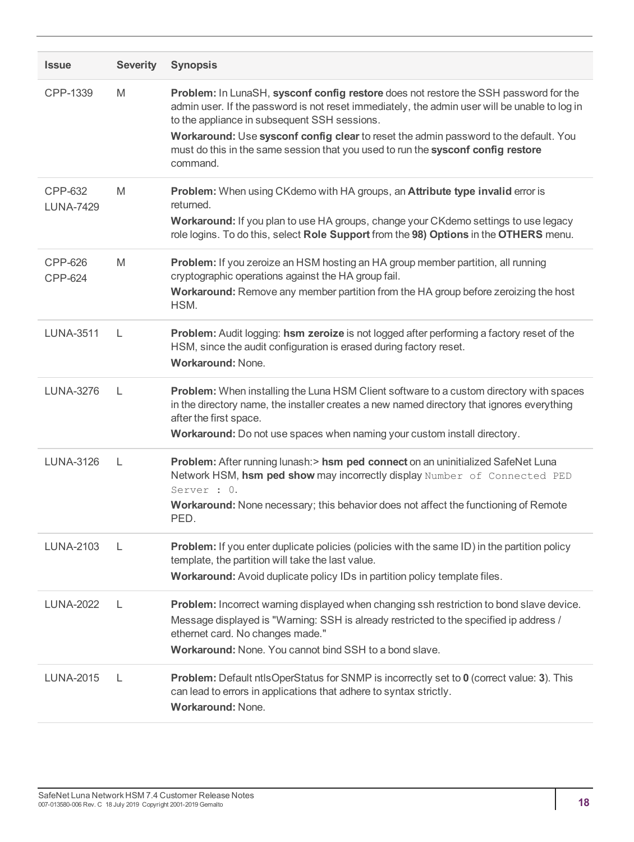| <b>Issue</b>                | <b>Severity</b> | <b>Synopsis</b>                                                                                                                                                                                                                                                                                                                                                                                                               |
|-----------------------------|-----------------|-------------------------------------------------------------------------------------------------------------------------------------------------------------------------------------------------------------------------------------------------------------------------------------------------------------------------------------------------------------------------------------------------------------------------------|
| CPP-1339                    | M               | Problem: In LunaSH, sysconf config restore does not restore the SSH password for the<br>admin user. If the password is not reset immediately, the admin user will be unable to log in<br>to the appliance in subsequent SSH sessions.<br>Workaround: Use sysconf config clear to reset the admin password to the default. You<br>must do this in the same session that you used to run the sysconf config restore<br>command. |
| CPP-632<br><b>LUNA-7429</b> | M               | Problem: When using CKdemo with HA groups, an Attribute type invalid error is<br>returned.<br>Workaround: If you plan to use HA groups, change your CKdemo settings to use legacy<br>role logins. To do this, select Role Support from the 98) Options in the OTHERS menu.                                                                                                                                                    |
| CPP-626<br>CPP-624          | M               | <b>Problem:</b> If you zeroize an HSM hosting an HA group member partition, all running<br>cryptographic operations against the HA group fail.<br>Workaround: Remove any member partition from the HA group before zeroizing the host<br>HSM.                                                                                                                                                                                 |
| <b>LUNA-3511</b>            | L               | Problem: Audit logging: hsm zeroize is not logged after performing a factory reset of the<br>HSM, since the audit configuration is erased during factory reset.<br><b>Workaround: None.</b>                                                                                                                                                                                                                                   |
| <b>LUNA-3276</b>            | L               | Problem: When installing the Luna HSM Client software to a custom directory with spaces<br>in the directory name, the installer creates a new named directory that ignores everything<br>after the first space.<br>Workaround: Do not use spaces when naming your custom install directory.                                                                                                                                   |
| <b>LUNA-3126</b>            | L               | Problem: After running lunash:> hsm ped connect on an uninitialized SafeNet Luna<br>Network HSM, hsm ped show may incorrectly display Number of Connected PED<br>Server : 0.<br>Workaround: None necessary; this behavior does not affect the functioning of Remote<br>PED.                                                                                                                                                   |
| <b>LUNA-2103</b>            | L               | <b>Problem:</b> If you enter duplicate policies (policies with the same ID) in the partition policy<br>template, the partition will take the last value.<br>Workaround: Avoid duplicate policy IDs in partition policy template files.                                                                                                                                                                                        |
| <b>LUNA-2022</b>            | L               | Problem: Incorrect warning displayed when changing ssh restriction to bond slave device.<br>Message displayed is "Warning: SSH is already restricted to the specified ip address /<br>ethernet card. No changes made."<br><b>Workaround:</b> None, You cannot bind SSH to a bond slave.                                                                                                                                       |
| <b>LUNA-2015</b>            | L               | <b>Problem:</b> Default ntlsOperStatus for SNMP is incorrectly set to 0 (correct value: 3). This<br>can lead to errors in applications that adhere to syntax strictly.<br><b>Workaround: None.</b>                                                                                                                                                                                                                            |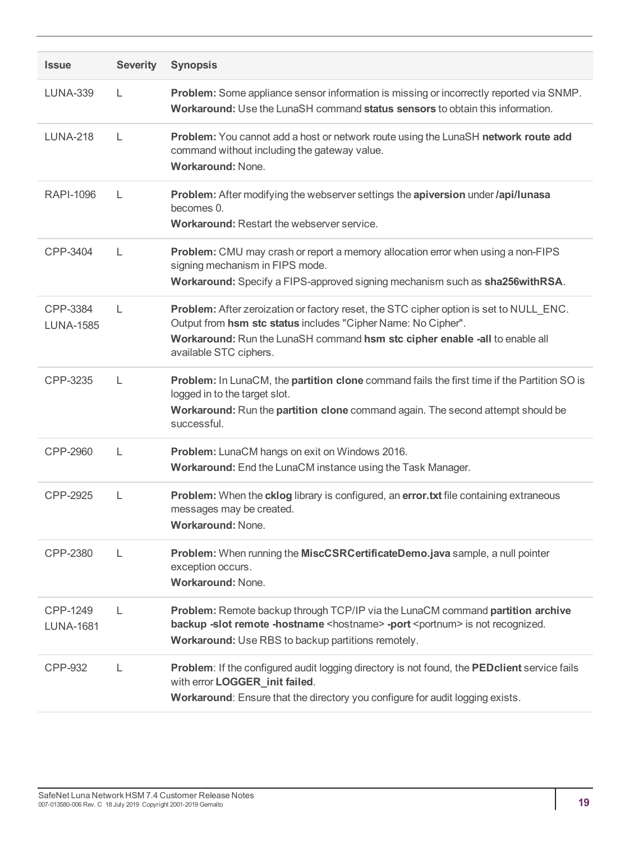| <b>Issue</b>                 | <b>Severity</b> | <b>Synopsis</b>                                                                                                                                                                                                                                                  |
|------------------------------|-----------------|------------------------------------------------------------------------------------------------------------------------------------------------------------------------------------------------------------------------------------------------------------------|
| <b>LUNA-339</b>              | L               | Problem: Some appliance sensor information is missing or incorrectly reported via SNMP.<br>Workaround: Use the LunaSH command status sensors to obtain this information.                                                                                         |
| <b>LUNA-218</b>              | L               | Problem: You cannot add a host or network route using the LunaSH network route add<br>command without including the gateway value.<br>Workaround: None.                                                                                                          |
| <b>RAPI-1096</b>             | L               | Problem: After modifying the webserver settings the apiversion under /api/lunasa<br>becomes 0.<br>Workaround: Restart the webserver service.                                                                                                                     |
| CPP-3404                     | L               | Problem: CMU may crash or report a memory allocation error when using a non-FIPS<br>signing mechanism in FIPS mode.<br>Workaround: Specify a FIPS-approved signing mechanism such as sha256withRSA.                                                              |
| CPP-3384<br><b>LUNA-1585</b> | L               | Problem: After zeroization or factory reset, the STC cipher option is set to NULL_ENC.<br>Output from hsm stc status includes "Cipher Name: No Cipher".<br>Workaround: Run the LunaSH command hsm stc cipher enable -all to enable all<br>available STC ciphers. |
| CPP-3235                     | L               | Problem: In LunaCM, the partition clone command fails the first time if the Partition SO is<br>logged in to the target slot.<br>Workaround: Run the partition clone command again. The second attempt should be<br>successful.                                   |
| CPP-2960                     | L               | Problem: LunaCM hangs on exit on Windows 2016.<br>Workaround: End the LunaCM instance using the Task Manager.                                                                                                                                                    |
| CPP-2925                     | L               | Problem: When the cklog library is configured, an error.txt file containing extraneous<br>messages may be created.<br><b>Workaround: None.</b>                                                                                                                   |
| CPP-2380                     | L               | Problem: When running the MiscCSRCertificateDemo.java sample, a null pointer<br>exception occurs.<br>Workaround: None.                                                                                                                                           |
| CPP-1249<br><b>LUNA-1681</b> | L               | Problem: Remote backup through TCP/IP via the LunaCM command partition archive<br>backup -slot remote -hostname <hostname> -port <portnum> is not recognized.<br/>Workaround: Use RBS to backup partitions remotely.</portnum></hostname>                        |
| CPP-932                      | L               | Problem: If the configured audit logging directory is not found, the PEDclient service fails<br>with error LOGGER_init failed.<br>Workaround: Ensure that the directory you configure for audit logging exists.                                                  |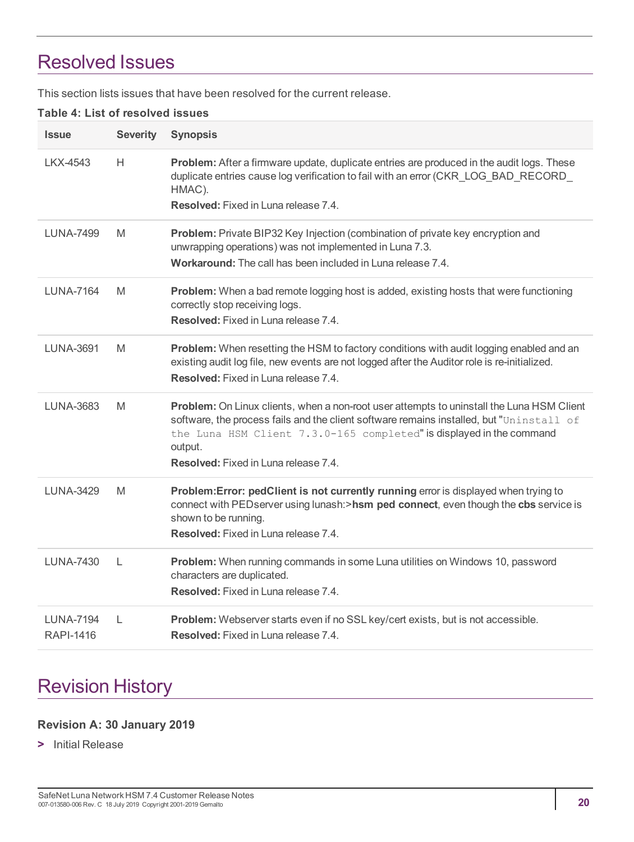# <span id="page-19-0"></span>Resolved Issues

This section lists issues that have been resolved for the current release.

#### **Table 4: List of resolved issues**

| <b>Issue</b>                  | <b>Severity</b> | <b>Synopsis</b>                                                                                                                                                                                                                                                                                                         |
|-------------------------------|-----------------|-------------------------------------------------------------------------------------------------------------------------------------------------------------------------------------------------------------------------------------------------------------------------------------------------------------------------|
| LKX-4543                      | H.              | Problem: After a firmware update, duplicate entries are produced in the audit logs. These<br>duplicate entries cause log verification to fail with an error (CKR_LOG_BAD_RECORD_<br>HMAC).<br>Resolved: Fixed in Luna release 7.4.                                                                                      |
| LUNA-7499                     | M               | Problem: Private BIP32 Key Injection (combination of private key encryption and<br>unwrapping operations) was not implemented in Luna 7.3.<br>Workaround: The call has been included in Luna release 7.4.                                                                                                               |
| LUNA-7164                     | M               | Problem: When a bad remote logging host is added, existing hosts that were functioning<br>correctly stop receiving logs.<br>Resolved: Fixed in Luna release 7.4.                                                                                                                                                        |
| <b>LUNA-3691</b>              | M               | Problem: When resetting the HSM to factory conditions with audit logging enabled and an<br>existing audit log file, new events are not logged after the Auditor role is re-initialized.<br>Resolved: Fixed in Luna release 7.4.                                                                                         |
| <b>LUNA-3683</b>              | M               | Problem: On Linux clients, when a non-root user attempts to uninstall the Luna HSM Client<br>software, the process fails and the client software remains installed, but "Uninstall of<br>the Luna HSM Client 7.3.0-165 completed" is displayed in the command<br>output.<br><b>Resolved:</b> Fixed in Luna release 7.4. |
| <b>LUNA-3429</b>              | M               | Problem: Error: pedClient is not currently running error is displayed when trying to<br>connect with PEDserver using lunash:>hsm ped connect, even though the cbs service is<br>shown to be running.<br>Resolved: Fixed in Luna release 7.4.                                                                            |
| <b>LUNA-7430</b>              | $\mathsf{L}$    | Problem: When running commands in some Luna utilities on Windows 10, password<br>characters are duplicated.<br>Resolved: Fixed in Luna release 7.4.                                                                                                                                                                     |
| LUNA-7194<br><b>RAPI-1416</b> | L               | Problem: Webserver starts even if no SSL key/cert exists, but is not accessible.<br><b>Resolved:</b> Fixed in Luna release 7.4.                                                                                                                                                                                         |

# <span id="page-19-1"></span>Revision History

#### **Revision A: 30 January 2019**

**>** Initial Release